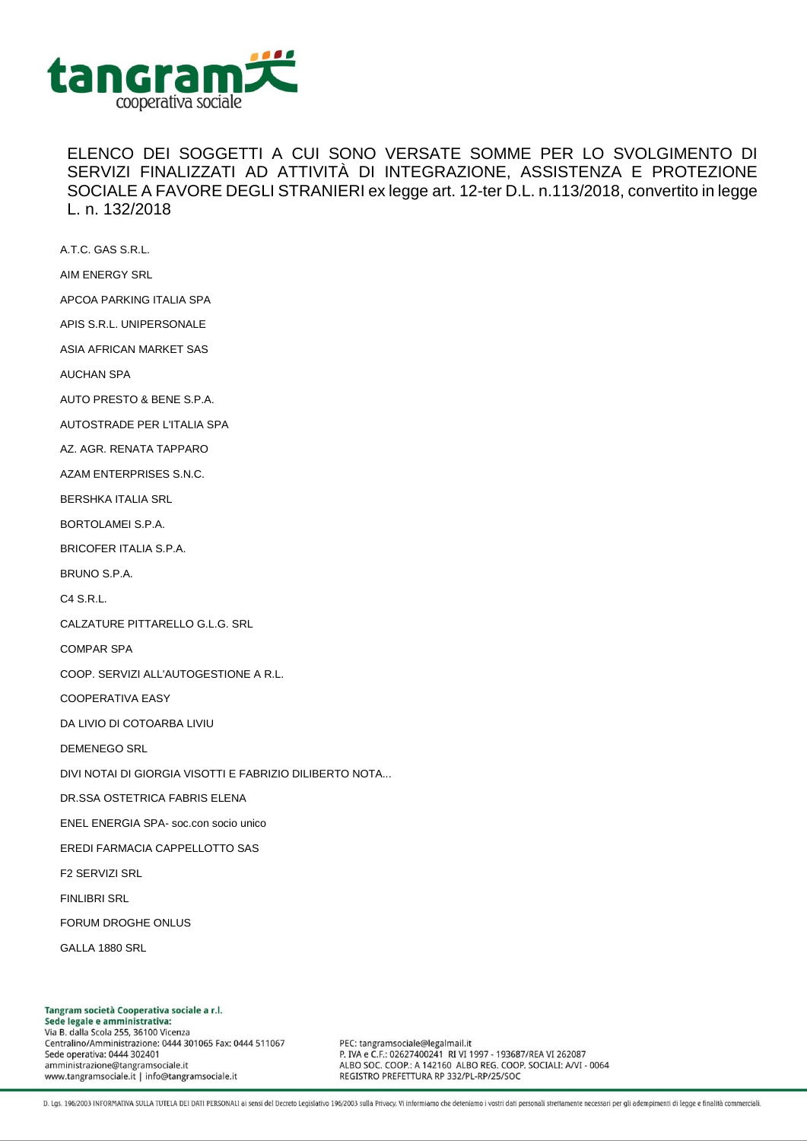

ELENCO DEI SOGGETTI A CUI SONO VERSATE SOMME PER LO SVOLGIMENTO DI SERVIZI FINALIZZATI AD ATTIVITÀ DI INTEGRAZIONE, ASSISTENZA E PROTEZIONE SOCIALE A FAVORE DEGLI STRANIERI ex legge art. 12-ter D.L. n.113/2018, convertito in legge L. n. 132/2018

A.T.C. GAS S.R.L.

AIM ENERGY SRL

APCOA PARKING ITALIA SPA

APIS S.R.L. UNIPERSONALE

ASIA AFRICAN MARKET SAS

AUCHAN SPA

AUTO PRESTO & BENE S.P.A.

AUTOSTRADE PER L'ITALIA SPA

AZ. AGR. RENATA TAPPARO

AZAM ENTERPRISES S.N.C.

BERSHKA ITALIA SRL

BORTOLAMEI S.P.A.

BRICOFER ITALIA S.P.A.

BRUNO S.P.A.

C4 S.R.L.

CALZATURE PITTARELLO G.L.G. SRL

COMPAR SPA

COOP. SERVIZI ALL'AUTOGESTIONE A R.L.

COOPERATIVA EASY

DA LIVIO DI COTOARBA LIVIU

DEMENEGO SRL

DIVI NOTAI DI GIORGIA VISOTTI E FABRIZIO DILIBERTO NOTA...

DR.SSA OSTETRICA FABRIS ELENA

ENEL ENERGIA SPA- soc.con socio unico

EREDI FARMACIA CAPPELLOTTO SAS

F2 SERVIZI SRL

FINLIBRI SRL

FORUM DROGHE ONLUS

GALLA 1880 SRL

Tangram società Cooperativa sociale a r.l. Sede legale e amministrativa: Via B. dalla Scola 255, 36100 Vicenza Centralino/Amministrazione: 0444 301065 Fax: 0444 511067 Sede operativa: 0444 302401 amministrazione@tangramsociale.it www.tangramsociale.it | info@tangramsociale.it

PEC: tangramsociale@legalmail.it P. IVA e C.F.: 02627400241 RI VI 1997 - 193687/REA VI 262087 ALBO SOC. COOP .: A 142160 ALBO REG. COOP. SOCIALI: A/VI - 0064 REGISTRO PREFETTURA RP 332/PL-RP/25/SOC

D. Lgs. 196/2003 INFORMATIVA SULLA TUTELA DEI DATI PERSONALI ai sensi del Decreto Legislativo 196/2003 sulla Privacy. Vi informiamo che deteniamo i vostri dati personali strettamente necessari per gli adempimenti di legge